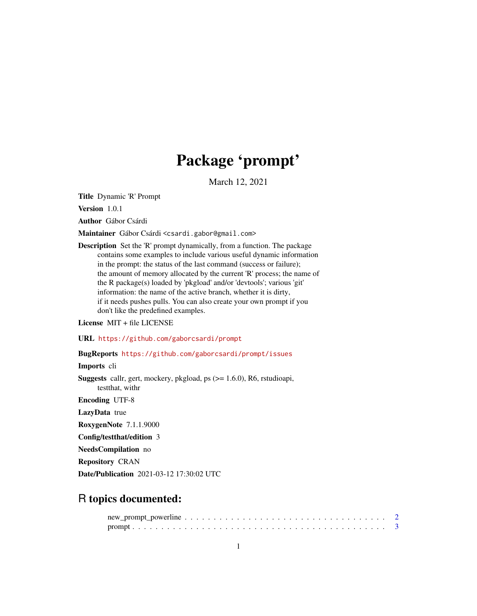## Package 'prompt'

March 12, 2021

<span id="page-0-0"></span>Title Dynamic 'R' Prompt

Version 1.0.1

Author Gábor Csárdi

Maintainer Gábor Csárdi <csardi.gabor@gmail.com>

Description Set the 'R' prompt dynamically, from a function. The package contains some examples to include various useful dynamic information in the prompt: the status of the last command (success or failure); the amount of memory allocated by the current 'R' process; the name of the R package(s) loaded by 'pkgload' and/or 'devtools'; various 'git' information: the name of the active branch, whether it is dirty, if it needs pushes pulls. You can also create your own prompt if you don't like the predefined examples.

License MIT + file LICENSE

URL <https://github.com/gaborcsardi/prompt>

## BugReports <https://github.com/gaborcsardi/prompt/issues>

Imports cli

Suggests callr, gert, mockery, pkgload, ps (>= 1.6.0), R6, rstudioapi, testthat, withr

Encoding UTF-8

LazyData true

RoxygenNote 7.1.1.9000

Config/testthat/edition 3

NeedsCompilation no

Repository CRAN

Date/Publication 2021-03-12 17:30:02 UTC

## R topics documented: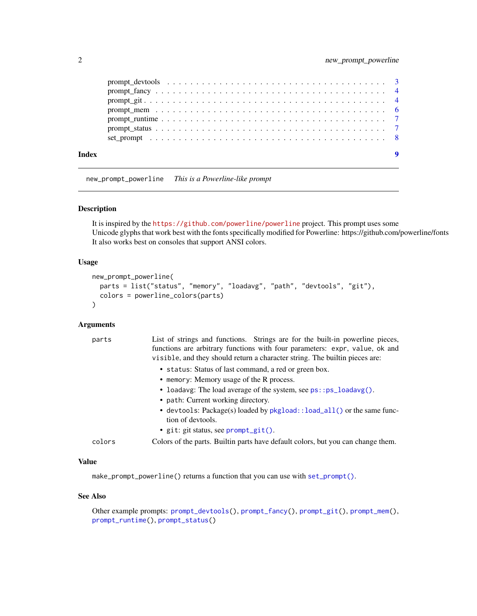<span id="page-1-0"></span>

| Index |  |
|-------|--|
|       |  |
|       |  |
|       |  |
|       |  |
|       |  |
|       |  |
|       |  |

<span id="page-1-1"></span>new\_prompt\_powerline *This is a Powerline-like prompt*

#### Description

It is inspired by the <https://github.com/powerline/powerline> project. This prompt uses some Unicode glyphs that work best with the fonts specifically modified for Powerline: https://github.com/powerline/fonts It also works best on consoles that support ANSI colors.

#### Usage

```
new_prompt_powerline(
 parts = list("status", "memory", "loadavg", "path", "devtools", "git"),
  colors = powerline_colors(parts)
\mathcal{L}
```
## Arguments

| parts  | List of strings and functions. Strings are for the built-in powerline pieces,    |
|--------|----------------------------------------------------------------------------------|
|        | functions are arbitrary functions with four parameters: expr, value, ok and      |
|        | visible, and they should return a character string. The builtin pieces are:      |
|        | • status: Status of last command, a red or green box.                            |
|        | • memory: Memory usage of the R process.                                         |
|        | • loadavg: The load average of the system, see $ps::ps\_loadavg()$ .             |
|        | • path: Current working directory.                                               |
|        | • devtools: Package(s) loaded by pkgload:: load_all() or the same func-          |
|        | tion of devtools.                                                                |
|        | • git: git status, see $prompt\_git()$ .                                         |
| colors | Colors of the parts. Builtin parts have default colors, but you can change them. |

## Value

make\_prompt\_powerline() returns a function that you can use with [set\\_prompt\(\)](#page-7-1).

## See Also

Other example prompts: [prompt\\_devtools\(](#page-2-1)), [prompt\\_fancy\(](#page-3-2)), [prompt\\_git\(](#page-3-1)), [prompt\\_mem\(](#page-5-1)), [prompt\\_runtime\(](#page-6-1)), [prompt\\_status\(](#page-6-2))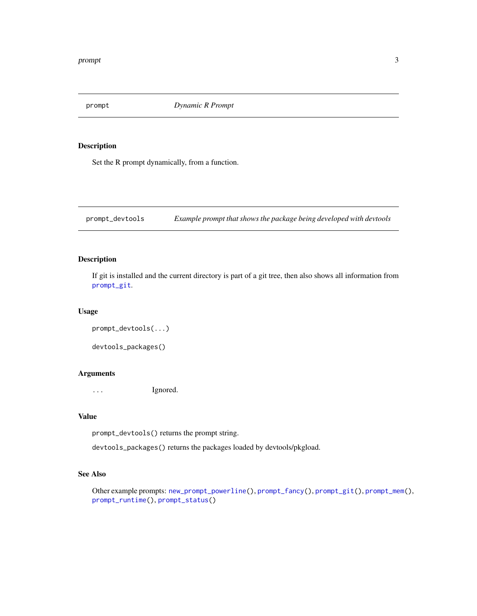<span id="page-2-0"></span>prompt *Dynamic R Prompt*

## Description

Set the R prompt dynamically, from a function.

<span id="page-2-1"></span>prompt\_devtools *Example prompt that shows the package being developed with devtools*

## Description

If git is installed and the current directory is part of a git tree, then also shows all information from [prompt\\_git](#page-3-1).

#### Usage

```
prompt_devtools(...)
devtools_packages()
```
#### Arguments

... Ignored.

## Value

prompt\_devtools() returns the prompt string.

devtools\_packages() returns the packages loaded by devtools/pkgload.

## See Also

Other example prompts: [new\\_prompt\\_powerline\(](#page-1-1)), [prompt\\_fancy\(](#page-3-2)), [prompt\\_git\(](#page-3-1)), [prompt\\_mem\(](#page-5-1)), [prompt\\_runtime\(](#page-6-1)), [prompt\\_status\(](#page-6-2))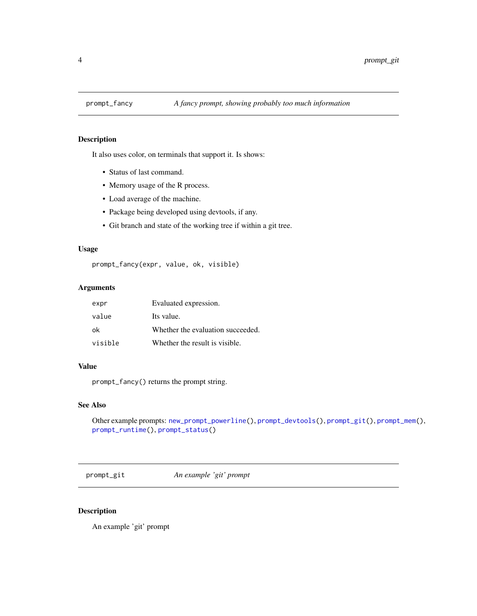<span id="page-3-2"></span><span id="page-3-0"></span>

## Description

It also uses color, on terminals that support it. Is shows:

- Status of last command.
- Memory usage of the R process.
- Load average of the machine.
- Package being developed using devtools, if any.
- Git branch and state of the working tree if within a git tree.

## Usage

prompt\_fancy(expr, value, ok, visible)

## Arguments

| expr    | Evaluated expression.             |
|---------|-----------------------------------|
| value   | Its value.                        |
| ok      | Whether the evaluation succeeded. |
| visible | Whether the result is visible.    |

## Value

prompt\_fancy() returns the prompt string.

## See Also

```
Other example prompts: new_prompt_powerline(), prompt_devtools(), prompt_git(), prompt_mem(),
prompt_runtime(), prompt_status()
```
<span id="page-3-1"></span>prompt\_git *An example 'git' prompt*

## Description

An example 'git' prompt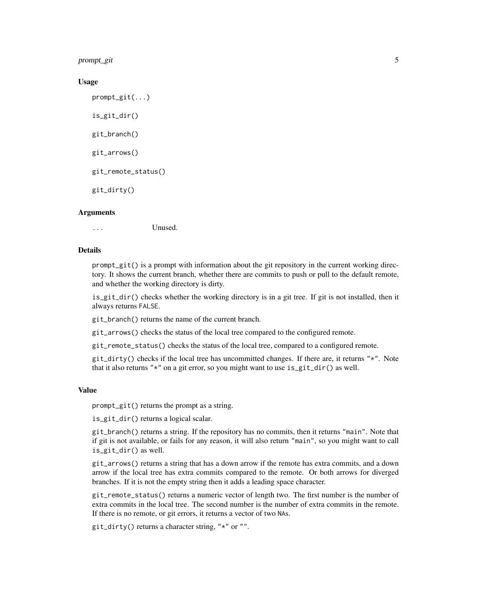prompt\_git 5

#### Usage

prompt\_git(...) is\_git\_dir() git\_branch() git\_arrows() git\_remote\_status() git\_dirty()

#### **Arguments**

... Unused.

#### Details

prompt\_git() is a prompt with information about the git repository in the current working directory. It shows the current branch, whether there are commits to push or pull to the default remote, and whether the working directory is dirty.

is\_git\_dir() checks whether the working directory is in a git tree. If git is not installed, then it always returns FALSE.

git\_branch() returns the name of the current branch.

git\_arrows() checks the status of the local tree compared to the configured remote.

git\_remote\_status() checks the status of the local tree, compared to a configured remote.

 $git\_dirty()$  checks if the local tree has uncommitted changes. If there are, it returns " $*$ ". Note that it also returns "\*" on a git error, so you might want to use is\_git\_dir() as well.

#### Value

prompt\_git() returns the prompt as a string.

is\_git\_dir() returns a logical scalar.

git\_branch() returns a string. If the repository has no commits, then it returns "main". Note that if git is not available, or fails for any reason, it will also return "main", so you might want to call is\_git\_dir() as well.

git\_arrows() returns a string that has a down arrow if the remote has extra commits, and a down arrow if the local tree has extra commits compared to the remote. Or both arrows for diverged branches. If it is not the empty string then it adds a leading space character.

git\_remote\_status() returns a numeric vector of length two. The first number is the number of extra commits in the local tree. The second number is the number of extra commits in the remote. If there is no remote, or git errors, it returns a vector of two NAs.

git\_dirty() returns a character string, "\*" or "".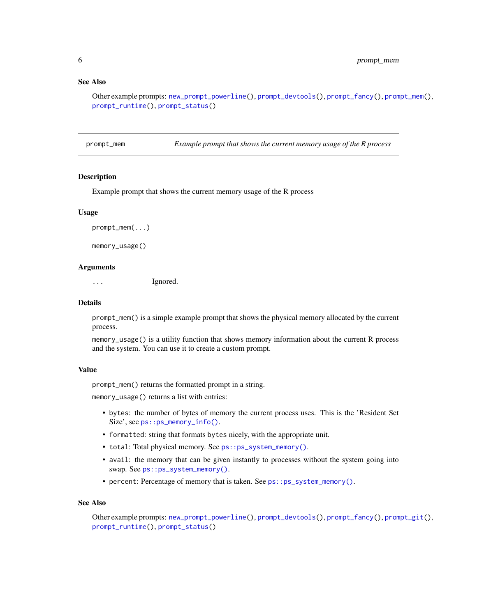## <span id="page-5-0"></span>See Also

```
Other example prompts: new_prompt_powerline(), prompt_devtools(), prompt_fancy(), prompt_mem(),
prompt_runtime(), prompt_status()
```
<span id="page-5-1"></span>prompt\_mem *Example prompt that shows the current memory usage of the R process*

#### Description

Example prompt that shows the current memory usage of the R process

#### Usage

prompt\_mem(...)

memory\_usage()

#### Arguments

... Ignored.

#### **Details**

prompt\_mem() is a simple example prompt that shows the physical memory allocated by the current process.

memory\_usage() is a utility function that shows memory information about the current R process and the system. You can use it to create a custom prompt.

#### Value

prompt\_mem() returns the formatted prompt in a string.

memory\_usage() returns a list with entries:

- bytes: the number of bytes of memory the current process uses. This is the 'Resident Set Size', see [ps::ps\\_memory\\_info\(\)](#page-0-0).
- formatted: string that formats bytes nicely, with the appropriate unit.
- total: Total physical memory. See [ps::ps\\_system\\_memory\(\)](#page-0-0).
- avail: the memory that can be given instantly to processes without the system going into swap. See [ps::ps\\_system\\_memory\(\)](#page-0-0).
- percent: Percentage of memory that is taken. See ps:: ps\_system\_memory().

#### See Also

Other example prompts: [new\\_prompt\\_powerline\(](#page-1-1)), [prompt\\_devtools\(](#page-2-1)), [prompt\\_fancy\(](#page-3-2)), [prompt\\_git\(](#page-3-1)), [prompt\\_runtime\(](#page-6-1)), [prompt\\_status\(](#page-6-2))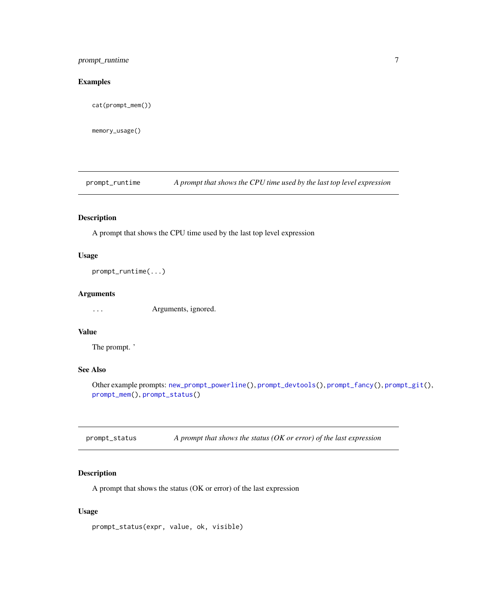## <span id="page-6-0"></span>prompt\_runtime 7

## Examples

cat(prompt\_mem())

memory\_usage()

<span id="page-6-1"></span>prompt\_runtime *A prompt that shows the CPU time used by the last top level expression*

## Description

A prompt that shows the CPU time used by the last top level expression

## Usage

prompt\_runtime(...)

#### Arguments

... Arguments, ignored.

## Value

The prompt. '

## See Also

Other example prompts: [new\\_prompt\\_powerline\(](#page-1-1)), [prompt\\_devtools\(](#page-2-1)), [prompt\\_fancy\(](#page-3-2)), [prompt\\_git\(](#page-3-1)), [prompt\\_mem\(](#page-5-1)), [prompt\\_status\(](#page-6-2))

<span id="page-6-2"></span>prompt\_status *A prompt that shows the status (OK or error) of the last expression*

## Description

A prompt that shows the status (OK or error) of the last expression

## Usage

prompt\_status(expr, value, ok, visible)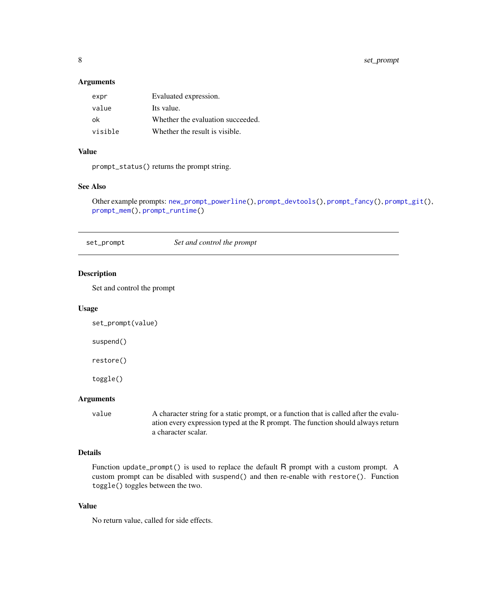<span id="page-7-0"></span>8 set\_prompt

## Arguments

| expr    | Evaluated expression.             |
|---------|-----------------------------------|
| value   | Its value.                        |
| ok      | Whether the evaluation succeeded. |
| visible | Whether the result is visible.    |

#### Value

prompt\_status() returns the prompt string.

## See Also

Other example prompts: [new\\_prompt\\_powerline\(](#page-1-1)), [prompt\\_devtools\(](#page-2-1)), [prompt\\_fancy\(](#page-3-2)), [prompt\\_git\(](#page-3-1)), [prompt\\_mem\(](#page-5-1)), [prompt\\_runtime\(](#page-6-1))

<span id="page-7-1"></span>set\_prompt *Set and control the prompt*

## Description

Set and control the prompt

## Usage

set\_prompt(value)

suspend()

restore()

toggle()

## Arguments

value A character string for a static prompt, or a function that is called after the evaluation every expression typed at the R prompt. The function should always return a character scalar.

## Details

Function update\_prompt() is used to replace the default R prompt with a custom prompt. A custom prompt can be disabled with suspend() and then re-enable with restore(). Function toggle() toggles between the two.

## Value

No return value, called for side effects.